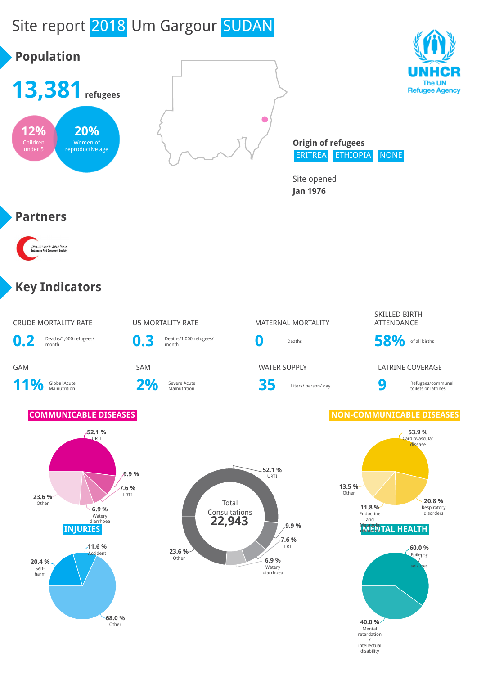# Site report 2018 Um Gargour SUDAN



## **Key Indicators**

۔<br>جمعیة الهلال الأ<<br>Crescent Society

**Partners**

**12%** Children under 5

**20%** Women of reproductive age

**Population**

| CRUDE MORTALITY RATE |  |
|----------------------|--|



11% Global Acute

2% Severe Acute

**0.3** Deaths/1,000 refugees/

# U5 MORTALITY RATE MATERNAL MORTALITY

Severe Acute **35** Liters/ person/ day **9** 

### SKILLED BIRTH ATTENDANCE

**0** Deaths **58%** of all births

GAM SAM SAM WATER SUPPLY LATRINE COVERAGE

Refugees/communal toilets or latrines

### **COMMUNICABLE DISEASES NON-COMMUNICABLE DISEASES**



# **52.1 %** URTI



Other



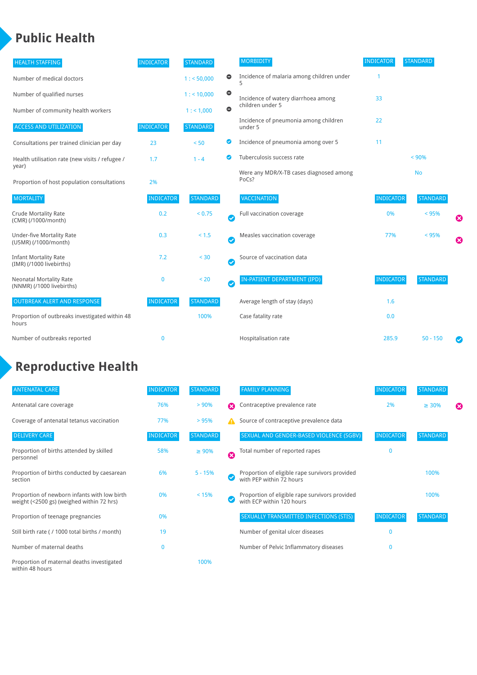# **Public Health**

| <b>HEALTH STAFFING</b>                                      | <b>INDICATOR</b> | <b>STANDARD</b> |           | <b>MORBIDITY</b>                                 | <b>INDICATOR</b> | <b>STANDARD</b> |   |
|-------------------------------------------------------------|------------------|-----------------|-----------|--------------------------------------------------|------------------|-----------------|---|
| Number of medical doctors                                   |                  | 1: 50,000       | $\bullet$ | Incidence of malaria among children under        |                  |                 |   |
| Number of qualified nurses                                  |                  | 1:10,000        | $\bullet$ | Incidence of watery diarrhoea among              | 33               |                 |   |
| Number of community health workers                          |                  | 1: 1,000        | $\bullet$ | children under 5                                 |                  |                 |   |
| <b>ACCESS AND UTILIZATION</b>                               | <b>INDICATOR</b> | <b>STANDARD</b> |           | Incidence of pneumonia among children<br>under 5 | 22               |                 |   |
| Consultations per trained clinician per day                 | 23               | < 50            | ◉         | Incidence of pneumonia among over 5              | 11               |                 |   |
| Health utilisation rate (new visits / refugee /             | 1.7              | $1 - 4$         | ◙         | Tuberculosis success rate                        |                  | < 90%           |   |
| year)<br>Proportion of host population consultations        | 2%               |                 |           | Were any MDR/X-TB cases diagnosed among<br>PoCs? |                  | <b>No</b>       |   |
| <b>MORTALITY</b>                                            | <b>INDICATOR</b> | <b>STANDARD</b> |           | VACCINATION                                      | <b>INDICATOR</b> | <b>STANDARD</b> |   |
| <b>Crude Mortality Rate</b><br>(CMR) (/1000/month)          | 0.2              | < 0.75          | Ø         | Full vaccination coverage                        | 0%               | < 95%           | Ø |
| <b>Under-five Mortality Rate</b><br>(U5MR) (/1000/month)    | 0.3              | < 1.5           | Ø         | Measles vaccination coverage                     | 77%              | < 95%           | Ø |
| <b>Infant Mortality Rate</b><br>(IMR) (/1000 livebirths)    | 7.2              | < 30            | Ø         | Source of vaccination data                       |                  |                 |   |
| <b>Neonatal Mortality Rate</b><br>(NNMR) (/1000 livebirths) | $\bf{0}$         | < 20            | $\bullet$ | IN-PATIENT DEPARTMENT (IPD)                      | <b>INDICATOR</b> | <b>STANDARD</b> |   |
| <b>OUTBREAK ALERT AND RESPONSE</b>                          | <b>INDICATOR</b> | <b>STANDARD</b> |           | Average length of stay (days)                    | 1.6              |                 |   |
| Proportion of outbreaks investigated within 48<br>hours     |                  | 100%            |           | Case fatality rate                               | 0.0              |                 |   |
| Number of outbreaks reported                                | $\bf{0}$         |                 |           | Hospitalisation rate                             | 285.9            | $50 - 150$      |   |

# **Reproductive Health**

| <b>ANTENATAL CARE</b>                                                                     | <b>INDICATOR</b> | <b>STANDARD</b> |   | <b>FAMILY PLANNING</b>                                                      | <b>INDICATOR</b> | <b>STANDARD</b> |   |
|-------------------------------------------------------------------------------------------|------------------|-----------------|---|-----------------------------------------------------------------------------|------------------|-----------------|---|
| Antenatal care coverage                                                                   | 76%              | > 90%           | Ω | Contraceptive prevalence rate                                               | 2%               | $\geq 30\%$     | ⊠ |
| Coverage of antenatal tetanus vaccination                                                 | 77%              | >95%            |   | Source of contraceptive prevalence data                                     |                  |                 |   |
| <b>DELIVERY CARE</b>                                                                      | <b>INDICATOR</b> | <b>STANDARD</b> |   | SEXUAL AND GENDER-BASED VIOLENCE (SGBV)                                     | <b>INDICATOR</b> | <b>STANDARD</b> |   |
| Proportion of births attended by skilled<br>personnel                                     | 58%              | $\geq 90\%$     | Ø | Total number of reported rapes                                              | $\Omega$         |                 |   |
| Proportion of births conducted by caesarean<br>section                                    | 6%               | $5 - 15%$       |   | Proportion of eligible rape survivors provided<br>with PEP within 72 hours  |                  | 100%            |   |
| Proportion of newborn infants with low birth<br>weight (<2500 gs) (weighed within 72 hrs) | 0%               | < 15%           |   | Proportion of eligible rape survivors provided<br>with ECP within 120 hours |                  | 100%            |   |
| Proportion of teenage pregnancies                                                         | 0%               |                 |   | SEXUALLY TRANSMITTED INFECTIONS (STIS)                                      | <b>INDICATOR</b> | <b>STANDARD</b> |   |
| Still birth rate (/1000 total births / month)                                             | 19               |                 |   | Number of genital ulcer diseases                                            | $\Omega$         |                 |   |
| Number of maternal deaths                                                                 | $\mathbf{0}$     |                 |   | Number of Pelvic Inflammatory diseases                                      | $\Omega$         |                 |   |
| Proportion of maternal deaths investigated<br>within 48 hours                             |                  | 100%            |   |                                                                             |                  |                 |   |